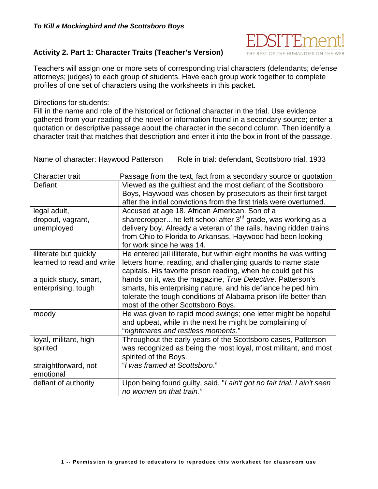

#### **Activity 2. Part 1: Character Traits (Teacher's Version)**

Teachers will assign one or more sets of corresponding trial characters (defendants; defense attorneys; judges) to each group of students. Have each group work together to complete profiles of one set of characters using the worksheets in this packet.

Directions for students:

Fill in the name and role of the historical or fictional character in the trial. Use evidence gathered from your reading of the novel or information found in a secondary source; enter a quotation or descriptive passage about the character in the second column. Then identify a character trait that matches that description and enter it into the box in front of the passage.

Name of character: Haywood Patterson Role in trial: defendant, Scottsboro trial, 1933

| <b>Character trait</b>    | Passage from the text, fact from a secondary source or quotation        |
|---------------------------|-------------------------------------------------------------------------|
| Defiant                   | Viewed as the guiltiest and the most defiant of the Scottsboro          |
|                           | Boys, Haywood was chosen by prosecutors as their first target           |
|                           | after the initial convictions from the first trials were overturned.    |
| legal adult,              | Accused at age 18. African American. Son of a                           |
| dropout, vagrant,         | sharecropperhe left school after $3^{rd}$ grade, was working as a       |
| unemployed                | delivery boy. Already a veteran of the rails, having ridden trains      |
|                           | from Ohio to Florida to Arkansas, Haywood had been looking              |
|                           | for work since he was 14.                                               |
| illiterate but quickly    | He entered jail illiterate, but within eight months he was writing      |
| learned to read and write | letters home, reading, and challenging guards to name state             |
|                           | capitals. His favorite prison reading, when he could get his            |
| a quick study, smart,     | hands on it, was the magazine, True Detective. Patterson's              |
| enterprising, tough       | smarts, his enterprising nature, and his defiance helped him            |
|                           | tolerate the tough conditions of Alabama prison life better than        |
|                           | most of the other Scottsboro Boys.                                      |
| moody                     | He was given to rapid mood swings; one letter might be hopeful          |
|                           | and upbeat, while in the next he might be complaining of                |
|                           | "nightmares and restless moments."                                      |
| loyal, militant, high     | Throughout the early years of the Scottsboro cases, Patterson           |
| spirited                  | was recognized as being the most loyal, most militant, and most         |
|                           | spirited of the Boys.                                                   |
| straightforward, not      | "I was framed at Scottsboro."                                           |
| emotional                 |                                                                         |
| defiant of authority      | Upon being found guilty, said, "I ain't got no fair trial. I ain't seen |
|                           | no women on that train."                                                |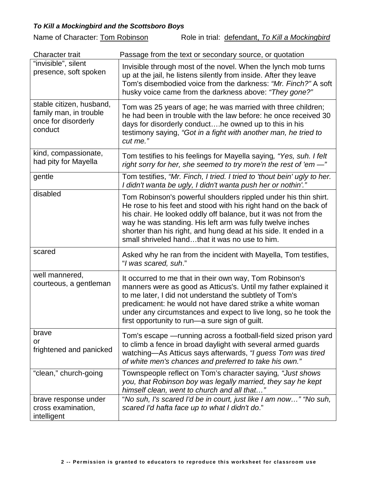Name of Character: **Tom Robinson** Role in trial: defendant, *To Kill a Mockingbird* 

| <b>Character trait</b>                                                               | Passage from the text or secondary source, or quotation                                                                                                                                                                                                                                                                                                                                   |
|--------------------------------------------------------------------------------------|-------------------------------------------------------------------------------------------------------------------------------------------------------------------------------------------------------------------------------------------------------------------------------------------------------------------------------------------------------------------------------------------|
| "invisible", silent<br>presence, soft spoken                                         | Invisible through most of the novel. When the lynch mob turns<br>up at the jail, he listens silently from inside. After they leave<br>Tom's disembodied voice from the darkness: "Mr. Finch?" A soft<br>husky voice came from the darkness above: "They gone?"                                                                                                                            |
| stable citizen, husband,<br>family man, in trouble<br>once for disorderly<br>conduct | Tom was 25 years of age; he was married with three children;<br>he had been in trouble with the law before: he once received 30<br>days for disorderly conducthe owned up to this in his<br>testimony saying, "Got in a fight with another man, he tried to<br>cut me."                                                                                                                   |
| kind, compassionate,<br>had pity for Mayella                                         | Tom testifies to his feelings for Mayella saying, "Yes, suh. I felt<br>right sorry for her, she seemed to try more'n the rest of 'em -"                                                                                                                                                                                                                                                   |
| gentle                                                                               | Tom testifies, "Mr. Finch, I tried. I tried to 'thout bein' ugly to her.<br>I didn't wanta be ugly, I didn't wanta push her or nothin'."                                                                                                                                                                                                                                                  |
| disabled                                                                             | Tom Robinson's powerful shoulders rippled under his thin shirt.<br>He rose to his feet and stood with his right hand on the back of<br>his chair. He looked oddly off balance, but it was not from the<br>way he was standing. His left arm was fully twelve inches<br>shorter than his right, and hung dead at his side. It ended in a<br>small shriveled handthat it was no use to him. |
| scared                                                                               | Asked why he ran from the incident with Mayella, Tom testifies,<br>"I was scared, suh."                                                                                                                                                                                                                                                                                                   |
| well mannered,<br>courteous, a gentleman                                             | It occurred to me that in their own way, Tom Robinson's<br>manners were as good as Atticus's. Until my father explained it<br>to me later, I did not understand the subtlety of Tom's<br>predicament: he would not have dared strike a white woman<br>under any circumstances and expect to live long, so he took the<br>first opportunity to run—a sure sign of guilt.                   |
| brave<br>or<br>frightened and panicked                                               | Tom's escape — running across a football-field sized prison yard<br>to climb a fence in broad daylight with several armed guards<br>watching—As Atticus says afterwards, "I guess Tom was tired<br>of white men's chances and preferred to take his own."                                                                                                                                 |
| "clean," church-going                                                                | Townspeople reflect on Tom's character saying, "Just shows<br>you, that Robinson boy was legally married, they say he kept<br>himself clean, went to church and all that"                                                                                                                                                                                                                 |
| brave response under<br>cross examination,<br>intelligent                            | "No suh, I's scared I'd be in court, just like I am now" "No suh,<br>scared I'd hafta face up to what I didn't do."                                                                                                                                                                                                                                                                       |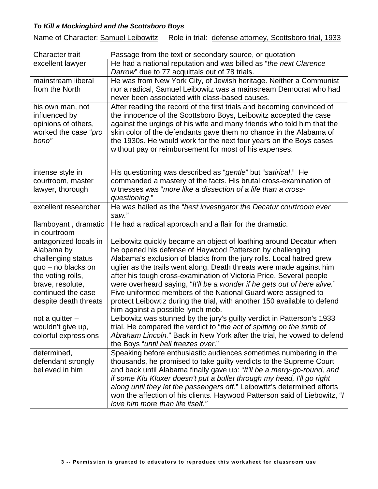Name of Character: Samuel Leibowitz Role in trial: defense attorney, Scottsboro trial, 1933

| <b>Character trait</b> | Passage from the text or secondary source, or quotation                   |
|------------------------|---------------------------------------------------------------------------|
| excellent lawyer       | He had a national reputation and was billed as "the next Clarence         |
|                        | Darrow" due to 77 acquittals out of 78 trials.                            |
| mainstream liberal     | He was from New York City, of Jewish heritage. Neither a Communist        |
| from the North         | nor a radical, Samuel Leibowitz was a mainstream Democrat who had         |
|                        | never been associated with class-based causes.                            |
| his own man, not       | After reading the record of the first trials and becoming convinced of    |
| influenced by          | the innocence of the Scottsboro Boys, Leibowitz accepted the case         |
| opinions of others,    | against the urgings of his wife and many friends who told him that the    |
| worked the case "pro   | skin color of the defendants gave them no chance in the Alabama of        |
| bono"                  | the 1930s. He would work for the next four years on the Boys cases        |
|                        | without pay or reimbursement for most of his expenses.                    |
|                        |                                                                           |
| intense style in       | His questioning was described as "gentle" but "satirical." He             |
| courtroom, master      | commanded a mastery of the facts. His brutal cross-examination of         |
| lawyer, thorough       | witnesses was "more like a dissection of a life than a cross-             |
|                        | questioning."                                                             |
| excellent researcher   | He was hailed as the "best investigator the Decatur courtroom ever        |
|                        | saw."                                                                     |
| flamboyant, dramatic   | He had a radical approach and a flair for the dramatic.                   |
| in courtroom           |                                                                           |
| antagonized locals in  | Leibowitz quickly became an object of loathing around Decatur when        |
| Alabama by             | he opened his defense of Haywood Patterson by challenging                 |
| challenging status     | Alabama's exclusion of blacks from the jury rolls. Local hatred grew      |
| quo - no blacks on     | uglier as the trails went along. Death threats were made against him      |
| the voting rolls,      | after his tough cross-examination of Victoria Price. Several people       |
| brave, resolute,       | were overheard saying, "It'll be a wonder if he gets out of here alive."  |
| continued the case     | Five uniformed members of the National Guard were assigned to             |
| despite death threats  | protect Leibowtiz during the trial, with another 150 available to defend  |
|                        | him against a possible lynch mob.                                         |
| not a quitter $-$      | Leibowitz was stunned by the jury's guilty verdict in Patterson's 1933    |
| wouldn't give up,      | trial. He compared the verdict to "the act of spitting on the tomb of     |
| colorful expressions   | Abraham Lincoln." Back in New York after the trial, he vowed to defend    |
|                        | the Boys "until hell freezes over."                                       |
| determined,            | Speaking before enthusiastic audiences sometimes numbering in the         |
| defendant strongly     | thousands, he promised to take guilty verdicts to the Supreme Court       |
| believed in him        | and back until Alabama finally gave up: "It'll be a merry-go-round, and   |
|                        | if some Klu Kluxer doesn't put a bullet through my head, I'll go right    |
|                        | along until they let the passengers off." Leibowitz's determined efforts  |
|                        | won the affection of his clients. Haywood Patterson said of Liebowitz, "I |
|                        | love him more than life itself."                                          |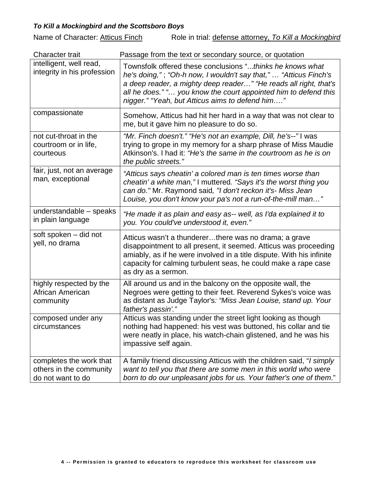Name of Character: Atticus Finch Role in trial: defense attorney, *To Kill a Mockingbird* 

| <b>Character trait</b>                                                  | Passage from the text or secondary source, or quotation                                                                                                                                                                                                                                                                |
|-------------------------------------------------------------------------|------------------------------------------------------------------------------------------------------------------------------------------------------------------------------------------------------------------------------------------------------------------------------------------------------------------------|
| intelligent, well read,<br>integrity in his profession                  | Townsfolk offered these conclusions "thinks he knows what<br>he's doing,"; "Oh-h now, I wouldn't say that," "Atticus Finch's<br>a deep reader, a mighty deep reader" "He reads all right, that's<br>all he does." " you know the court appointed him to defend this<br>nigger." "Yeah, but Atticus aims to defend him" |
| compassionate                                                           | Somehow, Atticus had hit her hard in a way that was not clear to<br>me, but it gave him no pleasure to do so.                                                                                                                                                                                                          |
| not cut-throat in the<br>courtroom or in life,<br>courteous             | "Mr. Finch doesn't." "He's not an example, Dill, he's--"I was<br>trying to grope in my memory for a sharp phrase of Miss Maudie<br>Atkinson's. I had it: "He's the same in the courtroom as he is on<br>the public streets."                                                                                           |
| fair, just, not an average<br>man, exceptional                          | "Atticus says cheatin' a colored man is ten times worse than<br>cheatin' a white man," I muttered. "Says it's the worst thing you<br>can do." Mr. Raymond said, "I don't reckon it's- Miss Jean<br>Louise, you don't know your pa's not a run-of-the-mill man"                                                         |
| understandable - speaks<br>in plain language                            | "He made it as plain and easy as-- well, as I'da explained it to<br>you. You could've understood it, even."                                                                                                                                                                                                            |
| soft spoken - did not<br>yell, no drama                                 | Atticus wasn't a thundererthere was no drama; a grave<br>disappointment to all present, it seemed. Atticus was proceeding<br>amiably, as if he were involved in a title dispute. With his infinite<br>capacity for calming turbulent seas, he could make a rape case<br>as dry as a sermon.                            |
| highly respected by the<br>African American<br>community                | All around us and in the balcony on the opposite wall, the<br>Negroes were getting to their feet. Reverend Sykes's voice was<br>as distant as Judge Taylor's: "Miss Jean Louise, stand up. Your<br>father's passin'."                                                                                                  |
| composed under any<br>circumstances                                     | Atticus was standing under the street light looking as though<br>nothing had happened: his vest was buttoned, his collar and tie<br>were neatly in place, his watch-chain glistened, and he was his<br>impassive self again.                                                                                           |
| completes the work that<br>others in the community<br>do not want to do | A family friend discussing Atticus with the children said, "I simply<br>want to tell you that there are some men in this world who were<br>born to do our unpleasant jobs for us. Your father's one of them."                                                                                                          |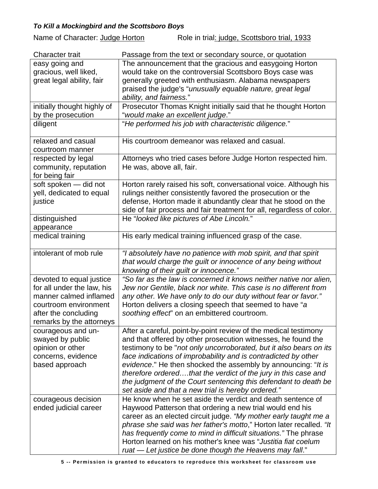Name of Character: Judge Horton Role in trial: judge, Scottsboro trial, 1933

| <b>Character trait</b>      | Passage from the text or secondary source, or quotation               |
|-----------------------------|-----------------------------------------------------------------------|
| easy going and              | The announcement that the gracious and easygoing Horton               |
| gracious, well liked,       | would take on the controversial Scottsboro Boys case was              |
| great legal ability, fair   | generally greeted with enthusiasm. Alabama newspapers                 |
|                             | praised the judge's "unusually equable nature, great legal            |
|                             | ability, and fairness."                                               |
| initially thought highly of | Prosecutor Thomas Knight initially said that he thought Horton        |
| by the prosecution          | "would make an excellent judge."                                      |
| diligent                    | "He performed his job with characteristic diligence."                 |
| relaxed and casual          | His courtroom demeanor was relaxed and casual.                        |
| courtroom manner            |                                                                       |
| respected by legal          | Attorneys who tried cases before Judge Horton respected him.          |
| community, reputation       | He was, above all, fair.                                              |
| for being fair              |                                                                       |
| soft spoken - did not       | Horton rarely raised his soft, conversational voice. Although his     |
| yell, dedicated to equal    | rulings neither consistently favored the prosecution or the           |
| justice                     | defense, Horton made it abundantly clear that he stood on the         |
|                             | side of fair process and fair treatment for all, regardless of color. |
| distinguished               | He "looked like pictures of Abe Lincoln."                             |
| appearance                  |                                                                       |
| medical training            | His early medical training influenced grasp of the case.              |
| intolerant of mob rule      | "I absolutely have no patience with mob spirit, and that spirit       |
|                             | that would charge the guilt or innocence of any being without         |
|                             | knowing of their guilt or innocence."                                 |
| devoted to equal justice    | "So far as the law is concerned it knows neither native nor alien,    |
| for all under the law, his  | Jew nor Gentile, black nor white. This case is no different from      |
| manner calmed inflamed      | any other. We have only to do our duty without fear or favor."        |
| courtroom environment       | Horton delivers a closing speech that seemed to have "a               |
| after the concluding        | soothing effect" on an embittered courtroom.                          |
| remarks by the attorneys    |                                                                       |
| courageous and un-          | After a careful, point-by-point review of the medical testimony       |
| swayed by public            | and that offered by other prosecution witnesses, he found the         |
| opinion or other            | testimony to be "not only uncorroborated, but it also bears on its    |
| concerns, evidence          | face indications of improbability and is contradicted by other        |
| based approach              | evidence." He then shocked the assembly by announcing: "It is         |
|                             | therefore orderedthat the verdict of the jury in this case and        |
|                             | the judgment of the Court sentencing this defendant to death be       |
|                             | set aside and that a new trial is hereby ordered."                    |
| courageous decision         | He know when he set aside the verdict and death sentence of           |
| ended judicial career       | Haywood Patterson that ordering a new trial would end his             |
|                             | career as an elected circuit judge. "My mother early taught me a      |
|                             | phrase she said was her father's motto," Horton later recalled. "It   |
|                             | has frequently come to mind in difficult situations." The phrase      |
|                             | Horton learned on his mother's knee was "Justitia fiat coelum         |
|                             | ruat - Let justice be done though the Heavens may fall."              |